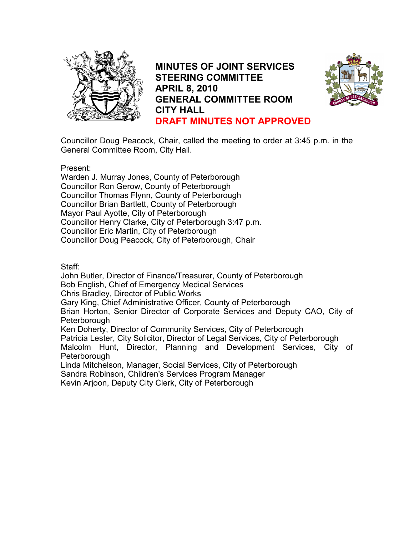

MINUTES OF JOINT SERVICES STEERING COMMITTEE APRIL 8, 2010 GENERAL COMMITTEE ROOM CITY HALL DRAFT MINUTES NOT APPROVED



Councillor Doug Peacock, Chair, called the meeting to order at 3:45 p.m. in the General Committee Room, City Hall.

Present:

Warden J. Murray Jones, County of Peterborough Councillor Ron Gerow, County of Peterborough Councillor Thomas Flynn, County of Peterborough Councillor Brian Bartlett, County of Peterborough Mayor Paul Ayotte, City of Peterborough Councillor Henry Clarke, City of Peterborough 3:47 p.m. Councillor Eric Martin, City of Peterborough Councillor Doug Peacock, City of Peterborough, Chair

Staff:

John Butler, Director of Finance/Treasurer, County of Peterborough Bob English, Chief of Emergency Medical Services Chris Bradley, Director of Public Works Gary King, Chief Administrative Officer, County of Peterborough Brian Horton, Senior Director of Corporate Services and Deputy CAO, City of **Peterborough** Ken Doherty, Director of Community Services, City of Peterborough Patricia Lester, City Solicitor, Director of Legal Services, City of Peterborough Malcolm Hunt, Director, Planning and Development Services, City of Peterborough Linda Mitchelson, Manager, Social Services, City of Peterborough Sandra Robinson, Children's Services Program Manager

Kevin Arjoon, Deputy City Clerk, City of Peterborough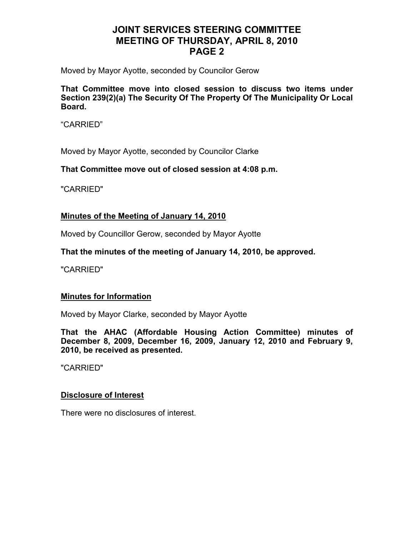Moved by Mayor Ayotte, seconded by Councilor Gerow

That Committee move into closed session to discuss two items under Section 239(2)(a) The Security Of The Property Of The Municipality Or Local Board.

"CARRIED"

Moved by Mayor Ayotte, seconded by Councilor Clarke

That Committee move out of closed session at 4:08 p.m.

"CARRIED"

#### Minutes of the Meeting of January 14, 2010

Moved by Councillor Gerow, seconded by Mayor Ayotte

That the minutes of the meeting of January 14, 2010, be approved.

"CARRIED"

#### Minutes for Information

Moved by Mayor Clarke, seconded by Mayor Ayotte

That the AHAC (Affordable Housing Action Committee) minutes of December 8, 2009, December 16, 2009, January 12, 2010 and February 9, 2010, be received as presented.

"CARRIED"

#### Disclosure of Interest

There were no disclosures of interest.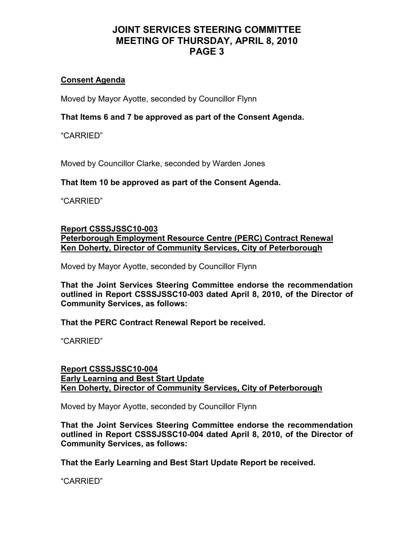## Consent Agenda

Moved by Mayor Ayotte, seconded by Councillor Flynn

That Items 6 and 7 be approved as part of the Consent Agenda.

"CARRIED"

Moved by Councillor Clarke, seconded by Warden Jones

## That Item 10 be approved as part of the Consent Agenda.

"CARRIED"

### Report CSSSJSSC10-003 Peterborough Employment Resource Centre (PERC) Contract Renewal Ken Doherty, Director of Community Services, City of Peterborough

Moved by Mayor Ayotte, seconded by Councillor Flynn

That the Joint Services Steering Committee endorse the recommendation outlined in Report CSSSJSSC10-003 dated April 8, 2010, of the Director of Community Services, as follows:

That the PERC Contract Renewal Report be received.

"CARRIED"

Report CSSSJSSC10-004 Early Learning and Best Start Update Ken Doherty, Director of Community Services, City of Peterborough

Moved by Mayor Ayotte, seconded by Councillor Flynn

That the Joint Services Steering Committee endorse the recommendation outlined in Report CSSSJSSC10-004 dated April 8, 2010, of the Director of Community Services, as follows:

That the Early Learning and Best Start Update Report be received.

"CARRIED"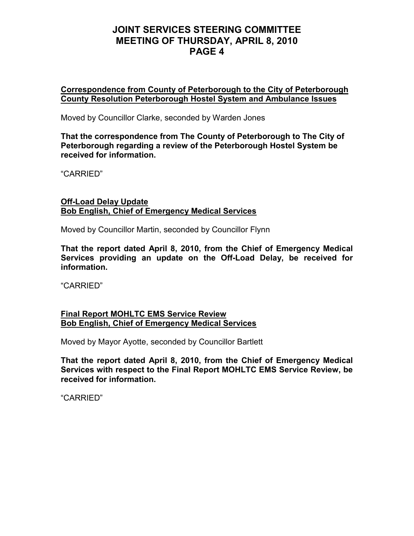Correspondence from County of Peterborough to the City of Peterborough County Resolution Peterborough Hostel System and Ambulance Issues

Moved by Councillor Clarke, seconded by Warden Jones

That the correspondence from The County of Peterborough to The City of Peterborough regarding a review of the Peterborough Hostel System be received for information.

"CARRIED"

#### Off-Load Delay Update Bob English, Chief of Emergency Medical Services

Moved by Councillor Martin, seconded by Councillor Flynn

That the report dated April 8, 2010, from the Chief of Emergency Medical Services providing an update on the Off-Load Delay, be received for information.

"CARRIED"

#### Final Report MOHLTC EMS Service Review Bob English, Chief of Emergency Medical Services

Moved by Mayor Ayotte, seconded by Councillor Bartlett

That the report dated April 8, 2010, from the Chief of Emergency Medical Services with respect to the Final Report MOHLTC EMS Service Review, be received for information.

"CARRIED"